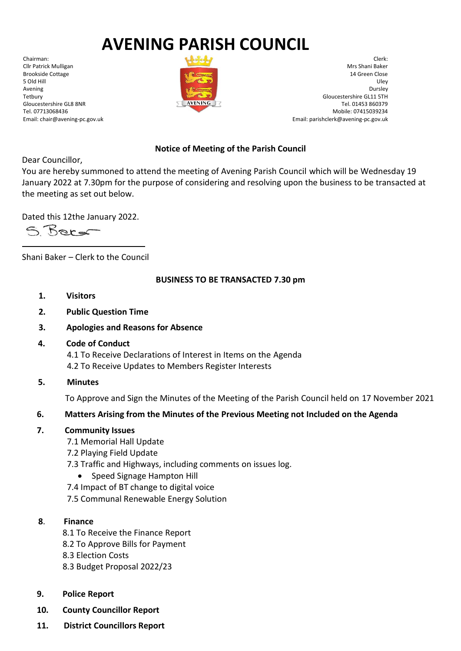# **AVENING PARISH COUNCIL**

Chairman: Cllr Patrick Mulligan Brookside Cottage 5 Old Hill Avening Tetbury Gloucestershire GL8 8NR Tel. 07713068436 Email: chair@avening-pc.gov.uk



Clerk: Mrs Shani Baker 14 Green Close Uley Dursley Gloucestershire GL11 5TH Tel. 01453 860379 Mobile: 07415039234 Email: parishclerk@avening-pc.gov.uk

## **Notice of Meeting of the Parish Council**

Dear Councillor,

You are hereby summoned to attend the meeting of Avening Parish Council which will be Wednesday 19 January 2022 at 7.30pm for the purpose of considering and resolving upon the business to be transacted at the meeting as set out below.

Dated this 12the January 2022.

S Berg

Shani Baker – Clerk to the Council

#### **BUSINESS TO BE TRANSACTED 7.30 pm**

- **1. Visitors**
- **2. Public Question Time**
- **3. Apologies and Reasons for Absence**
- **4. Code of Conduct**

 4.1 To Receive Declarations of Interest in Items on the Agenda 4.2 To Receive Updates to Members Register Interests

**5. Minutes**

To Approve and Sign the Minutes of the Meeting of the Parish Council held on 17 November 2021

#### **6. Matters Arising from the Minutes of the Previous Meeting not Included on the Agenda**

#### **7. Community Issues**

- 7.1 Memorial Hall Update
- 7.2 Playing Field Update
- 7.3 Traffic and Highways, including comments on issues log.
	- Speed Signage Hampton Hill
- 7.4 Impact of BT change to digital voice
- 7.5 Communal Renewable Energy Solution

#### **8**. **Finance**

- 8.1 To Receive the Finance Report
- 8.2 To Approve Bills for Payment
- 8.3 Election Costs
- 8.3 Budget Proposal 2022/23
- **9. Police Report**
- **10. County Councillor Report**
- **11. District Councillors Report**